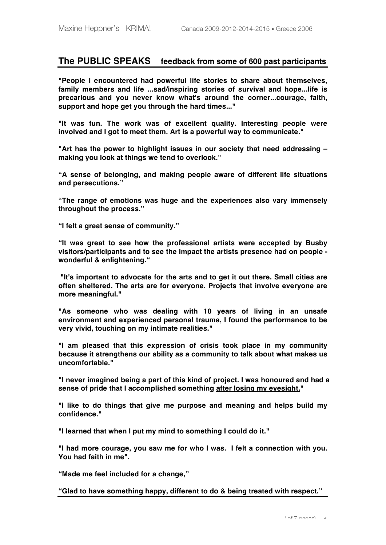# **The PUBLIC SPEAKS feedback from some of 600 past participants**

**"People I encountered had powerful life stories to share about themselves, family members and life ...sad/inspiring stories of survival and hope...life is precarious and you never know what's around the corner...courage, faith, support and hope get you through the hard times..."**

**"It was fun. The work was of excellent quality. Interesting people were involved and I got to meet them. Art is a powerful way to communicate."** 

**"Art has the power to highlight issues in our society that need addressing – making you look at things we tend to overlook."**

**"A sense of belonging, and making people aware of different life situations and persecutions."**

**"The range of emotions was huge and the experiences also vary immensely throughout the process."**

**"I felt a great sense of community."**

**"It was great to see how the professional artists were accepted by Busby visitors/participants and to see the impact the artists presence had on people wonderful & enlightening."**

 **"It's important to advocate for the arts and to get it out there. Small cities are often sheltered. The arts are for everyone. Projects that involve everyone are more meaningful."** 

**"As someone who was dealing with 10 years of living in an unsafe environment and experienced personal trauma, I found the performance to be very vivid, touching on my intimate realities."** 

**"I am pleased that this expression of crisis took place in my community because it strengthens our ability as a community to talk about what makes us uncomfortable."** 

**"I never imagined being a part of this kind of project. I was honoured and had a sense of pride that I accomplished something after losing my eyesight."**

**"I like to do things that give me purpose and meaning and helps build my confidence."** 

**"I learned that when I put my mind to something I could do it."** 

**"I had more courage, you saw me for who I was. I felt a connection with you. You had faith in me".** 

**"Made me feel included for a change,"**

**"Glad to have something happy, different to do & being treated with respect."**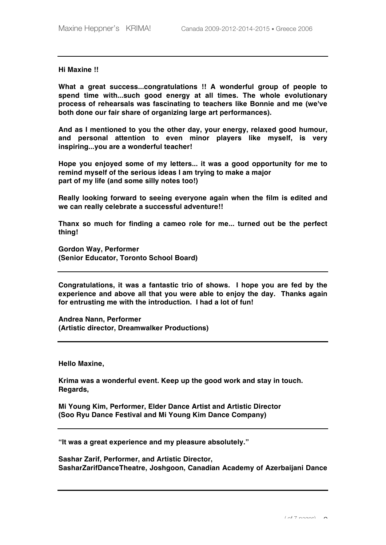## **Hi Maxine !!**

**What a great success...congratulations !! A wonderful group of people to spend time with...such good energy at all times. The whole evolutionary process of rehearsals was fascinating to teachers like Bonnie and me (we've both done our fair share of organizing large art performances).**

**And as I mentioned to you the other day, your energy, relaxed good humour, and personal attention to even minor players like myself, is very inspiring...you are a wonderful teacher!**

**Hope you enjoyed some of my letters... it was a good opportunity for me to remind myself of the serious ideas I am trying to make a major part of my life (and some silly notes too!)**

**Really looking forward to seeing everyone again when the film is edited and we can really celebrate a successful adventure!!**

**Thanx so much for finding a cameo role for me... turned out be the perfect thing!**

**Gordon Way, Performer (Senior Educator, Toronto School Board)**

**Congratulations, it was a fantastic trio of shows. I hope you are fed by the experience and above all that you were able to enjoy the day. Thanks again for entrusting me with the introduction. I had a lot of fun!** 

**Andrea Nann, Performer (Artistic director, Dreamwalker Productions)**

**Hello Maxine,**

**Krima was a wonderful event. Keep up the good work and stay in touch. Regards,**

**Mi Young Kim, Performer, Elder Dance Artist and Artistic Director (Soo Ryu Dance Festival and Mi Young Kim Dance Company)**

**"It was a great experience and my pleasure absolutely."**

**Sashar Zarif, Performer, and Artistic Director, SasharZarifDanceTheatre, Joshgoon, Canadian Academy of Azerbaijani Dance**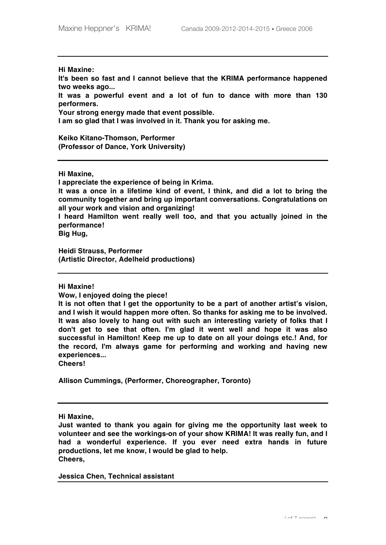**Hi Maxine:**

**It's been so fast and I cannot believe that the KRIMA performance happened two weeks ago...**

**It was a powerful event and a lot of fun to dance with more than 130 performers.** 

**Your strong energy made that event possible.**

**I am so glad that I was involved in it. Thank you for asking me.** 

**Keiko Kitano-Thomson, Performer (Professor of Dance, York University)**

**Hi Maxine,** 

**I appreciate the experience of being in Krima.** 

**It was a once in a lifetime kind of event, I think, and did a lot to bring the community together and bring up important conversations. Congratulations on all your work and vision and organizing!**

**I heard Hamilton went really well too, and that you actually joined in the performance!**

**Big Hug,**

**Heidi Strauss, Performer (Artistic Director, Adelheid productions)**

**Hi Maxine!**

**Wow, I enjoyed doing the piece!** 

**It is not often that I get the opportunity to be a part of another artist's vision, and I wish it would happen more often. So thanks for asking me to be involved. It was also lovely to hang out with such an interesting variety of folks that I don't get to see that often. I'm glad it went well and hope it was also successful in Hamilton! Keep me up to date on all your doings etc.! And, for the record, I'm always game for performing and working and having new experiences...**

**Cheers!**

**Allison Cummings, (Performer, Choreographer, Toronto)**

**Hi Maxine,**

**Just wanted to thank you again for giving me the opportunity last week to volunteer and see the workings-on of your show KRIMA! It was really fun, and I had a wonderful experience. If you ever need extra hands in future productions, let me know, I would be glad to help. Cheers,**

**Jessica Chen, Technical assistant**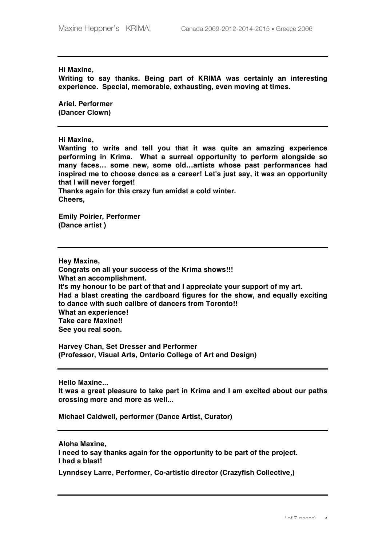## **Hi Maxine,**

**Writing to say thanks. Being part of KRIMA was certainly an interesting experience. Special, memorable, exhausting, even moving at times.**

**Ariel. Performer (Dancer Clown)**

#### **Hi Maxine,**

**Wanting to write and tell you that it was quite an amazing experience performing in Krima. What a surreal opportunity to perform alongside so many faces… some new, some old…artists whose past performances had inspired me to choose dance as a career! Let's just say, it was an opportunity that I will never forget!**

**Thanks again for this crazy fun amidst a cold winter. Cheers,**

**Emily Poirier, Performer (Dance artist )**

**Hey Maxine,**

**Congrats on all your success of the Krima shows!!! What an accomplishment. It's my honour to be part of that and I appreciate your support of my art. Had a blast creating the cardboard figures for the show, and equally exciting to dance with such calibre of dancers from Toronto!! What an experience! Take care Maxine!! See you real soon.**

**Harvey Chan, Set Dresser and Performer (Professor, Visual Arts, Ontario College of Art and Design)**

**Hello Maxine...**

**It was a great pleasure to take part in Krima and I am excited about our paths crossing more and more as well...**

**Michael Caldwell, performer (Dance Artist, Curator)**

**Aloha Maxine,**

**I need to say thanks again for the opportunity to be part of the project. I had a blast!**

**Lynndsey Larre, Performer, Co-artistic director (Crazyfish Collective,)**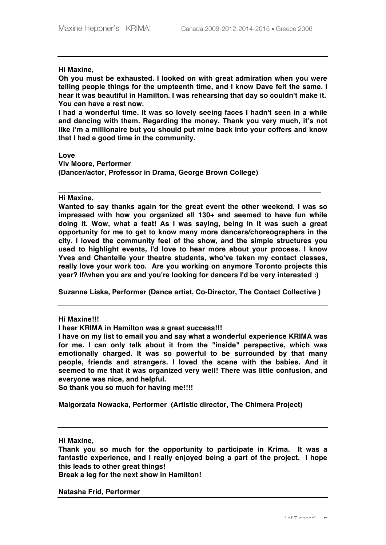**Hi Maxine,**

**Oh you must be exhausted. I looked on with great admiration when you were telling people things for the umpteenth time, and I know Dave felt the same. I hear it was beautiful in Hamilton. I was rehearsing that day so couldn't make it. You can have a rest now.**

**I had a wonderful time. It was so lovely seeing faces I hadn't seen in a while and dancing with them. Regarding the money. Thank you very much, it's not like I'm a millionaire but you should put mine back into your coffers and know that I had a good time in the community.** 

**Love Viv Moore, Performer (Dancer/actor, Professor in Drama, George Brown College)**

**Hi Maxine,**

**Wanted to say thanks again for the great event the other weekend. I was so impressed with how you organized all 130+ and seemed to have fun while doing it. Wow, what a feat! As I was saying, being in it was such a great opportunity for me to get to know many more dancers/choreographers in the city. I loved the community feel of the show, and the simple structures you used to highlight events, I'd love to hear more about your process. I know Yves and Chantelle your theatre students, who've taken my contact classes, really love your work too. Are you working on anymore Toronto projects this year? If/when you are and you're looking for dancers I'd be very interested :)** 

**\_\_\_\_\_\_\_\_\_\_\_\_\_\_\_\_\_\_\_\_\_\_\_\_\_\_\_\_\_\_\_\_\_\_\_\_\_\_\_\_\_\_\_\_\_\_\_\_\_\_\_\_\_\_\_\_\_\_\_\_\_\_\_\_\_\_**

**Suzanne Liska, Performer (Dance artist, Co-Director, The Contact Collective )**

**Hi Maxine!!!**

**I hear KRIMA in Hamilton was a great success!!!**

**I have on my list to email you and say what a wonderful experience KRIMA was for me. I can only talk about it from the "inside" perspective, which was emotionally charged. It was so powerful to be surrounded by that many people, friends and strangers. I loved the scene with the babies. And it seemed to me that it was organized very well! There was little confusion, and everyone was nice, and helpful.**

**So thank you so much for having me!!!!**

**Malgorzata Nowacka, Performer (Artistic director, The Chimera Project)**

**Hi Maxine,**

**Thank you so much for the opportunity to participate in Krima. It was a fantastic experience, and I really enjoyed being a part of the project. I hope this leads to other great things!** 

**Break a leg for the next show in Hamilton!**

**Natasha Frid, Performer**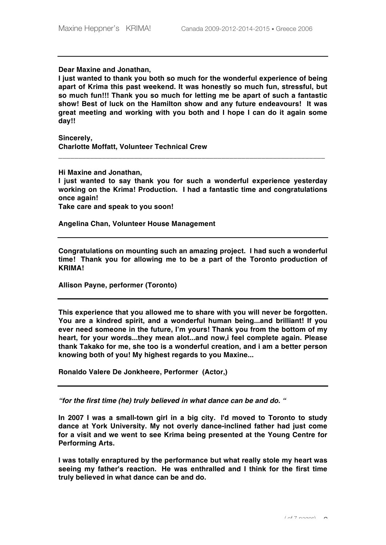**Dear Maxine and Jonathan,**

**I just wanted to thank you both so much for the wonderful experience of being apart of Krima this past weekend. It was honestly so much fun, stressful, but so much fun!!! Thank you so much for letting me be apart of such a fantastic show! Best of luck on the Hamilton show and any future endeavours! It was great meeting and working with you both and I hope I can do it again some day!!**

**Sincerely, Charlotte Moffatt, Volunteer Technical Crew** 

**Hi Maxine and Jonathan, I just wanted to say thank you for such a wonderful experience yesterday working on the Krima! Production. I had a fantastic time and congratulations once again! Take care and speak to you soon!** 

**\_\_\_\_\_\_\_\_\_\_\_\_\_\_\_\_\_\_\_\_\_\_\_\_\_\_\_\_\_\_\_\_\_\_\_\_\_\_\_\_\_\_\_\_\_\_\_\_\_\_\_\_\_\_\_\_\_\_\_\_\_\_\_\_\_\_\_**

**Angelina Chan, Volunteer House Management** 

**Congratulations on mounting such an amazing project. I had such a wonderful time! Thank you for allowing me to be a part of the Toronto production of KRIMA!**

**Allison Payne, performer (Toronto)**

**This experience that you allowed me to share with you will never be forgotten. You are a kindred spirit, and a wonderful human being...and brilliant! If you ever need someone in the future, I'm yours! Thank you from the bottom of my heart, for your words...they mean alot...and now,i feel complete again. Please thank Takako for me, she too is a wonderful creation, and i am a better person knowing both of you! My highest regards to you Maxine...**

**Ronaldo Valere De Jonkheere, Performer (Actor,)**

*"for the first time (he) truly believed in what dance can be and do. "*

**In 2007 I was a small-town girl in a big city. I'd moved to Toronto to study dance at York University. My not overly dance-inclined father had just come for a visit and we went to see Krima being presented at the Young Centre for Performing Arts.**

**I was totally enraptured by the performance but what really stole my heart was seeing my father's reaction. He was enthralled and I think for the first time truly believed in what dance can be and do.**